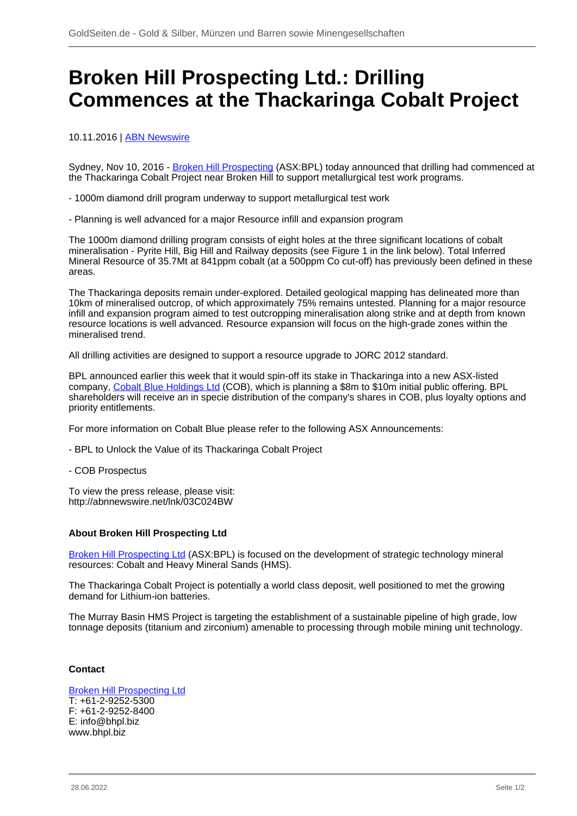## **Broken Hill Prospecting Ltd.: Drilling Commences at the Thackaringa Cobalt Project**

10.11.2016 | [ABN Newswire](/profil/222--ABN-Newswire)

Sydney, Nov 10, 2016 - [Broken Hill Prospecting](/minen/3312--American-Rare-Earths-Ltd) (ASX:BPL) today announced that drilling had commenced at the Thackaringa Cobalt Project near Broken Hill to support metallurgical test work programs.

- 1000m diamond drill program underway to support metallurgical test work

- Planning is well advanced for a major Resource infill and expansion program

The 1000m diamond drilling program consists of eight holes at the three significant locations of cobalt mineralisation - Pyrite Hill, Big Hill and Railway deposits (see Figure 1 in the link below). Total Inferred Mineral Resource of 35.7Mt at 841ppm cobalt (at a 500ppm Co cut-off) has previously been defined in these areas.

The Thackaringa deposits remain under-explored. Detailed geological mapping has delineated more than 10km of mineralised outcrop, of which approximately 75% remains untested. Planning for a major resource infill and expansion program aimed to test outcropping mineralisation along strike and at depth from known resource locations is well advanced. Resource expansion will focus on the high-grade zones within the mineralised trend.

All drilling activities are designed to support a resource upgrade to JORC 2012 standard.

BPL announced earlier this week that it would spin-off its stake in Thackaringa into a new ASX-listed company, [Cobalt Blue Holdings Ltd](/minen/3343--Cobalt-Blue-Holdings-Ltd) (COB), which is planning a \$8m to \$10m initial public offering. BPL shareholders will receive an in specie distribution of the company's shares in COB, plus loyalty options and priority entitlements.

For more information on Cobalt Blue please refer to the following ASX Announcements:

- BPL to Unlock the Value of its Thackaringa Cobalt Project

- COB Prospectus

To view the press release, please visit: http://abnnewswire.net/lnk/03C024BW

## **About Broken Hill Prospecting Ltd**

[Broken Hill Prospecting Ltd](/minen/3312--American-Rare-Earths-Ltd) (ASX:BPL) is focused on the development of strategic technology mineral resources: Cobalt and Heavy Mineral Sands (HMS).

The Thackaringa Cobalt Project is potentially a world class deposit, well positioned to met the growing demand for Lithium-ion batteries.

The Murray Basin HMS Project is targeting the establishment of a sustainable pipeline of high grade, low tonnage deposits (titanium and zirconium) amenable to processing through mobile mining unit technology.

## **Contact**

[Broken Hill Prospecting Ltd](/minen/3312--American-Rare-Earths-Ltd) T: +61-2-9252-5300 F: +61-2-9252-8400 E: info@bhpl.biz www.bhpl.biz